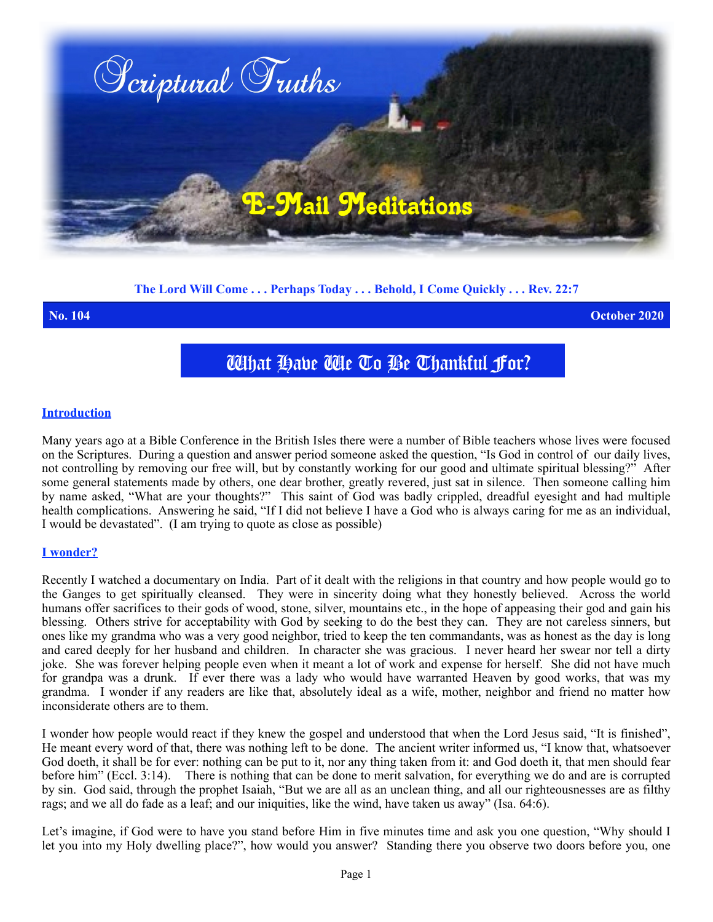

# **The Lord Will Come . . . Perhaps Today . . . Behold, I Come Quickly . . . Rev. 22:7**

**No. 104 October 2020**

# What Have We To Be Thankful For?

#### **Introduction**

Many years ago at a Bible Conference in the British Isles there were a number of Bible teachers whose lives were focused on the Scriptures. During a question and answer period someone asked the question, "Is God in control of our daily lives, not controlling by removing our free will, but by constantly working for our good and ultimate spiritual blessing?" After some general statements made by others, one dear brother, greatly revered, just sat in silence. Then someone calling him by name asked, "What are your thoughts?" This saint of God was badly crippled, dreadful eyesight and had multiple health complications. Answering he said, "If I did not believe I have a God who is always caring for me as an individual, I would be devastated". (I am trying to quote as close as possible)

### **I wonder?**

Recently I watched a documentary on India. Part of it dealt with the religions in that country and how people would go to the Ganges to get spiritually cleansed. They were in sincerity doing what they honestly believed. Across the world humans offer sacrifices to their gods of wood, stone, silver, mountains etc., in the hope of appeasing their god and gain his blessing. Others strive for acceptability with God by seeking to do the best they can. They are not careless sinners, but ones like my grandma who was a very good neighbor, tried to keep the ten commandants, was as honest as the day is long and cared deeply for her husband and children. In character she was gracious. I never heard her swear nor tell a dirty joke. She was forever helping people even when it meant a lot of work and expense for herself. She did not have much for grandpa was a drunk. If ever there was a lady who would have warranted Heaven by good works, that was my grandma. I wonder if any readers are like that, absolutely ideal as a wife, mother, neighbor and friend no matter how inconsiderate others are to them.

I wonder how people would react if they knew the gospel and understood that when the Lord Jesus said, "It is finished", He meant every word of that, there was nothing left to be done. The ancient writer informed us, "I know that, whatsoever God doeth, it shall be for ever: nothing can be put to it, nor any thing taken from it: and God doeth it, that men should fear before him" (Eccl. 3:14). There is nothing that can be done to merit salvation, for everything we do and are is corrupted by sin. God said, through the prophet Isaiah, "But we are all as an unclean thing, and all our righteousnesses are as filthy rags; and we all do fade as a leaf; and our iniquities, like the wind, have taken us away" (Isa. 64:6).

Let's imagine, if God were to have you stand before Him in five minutes time and ask you one question, "Why should I let you into my Holy dwelling place?", how would you answer? Standing there you observe two doors before you, one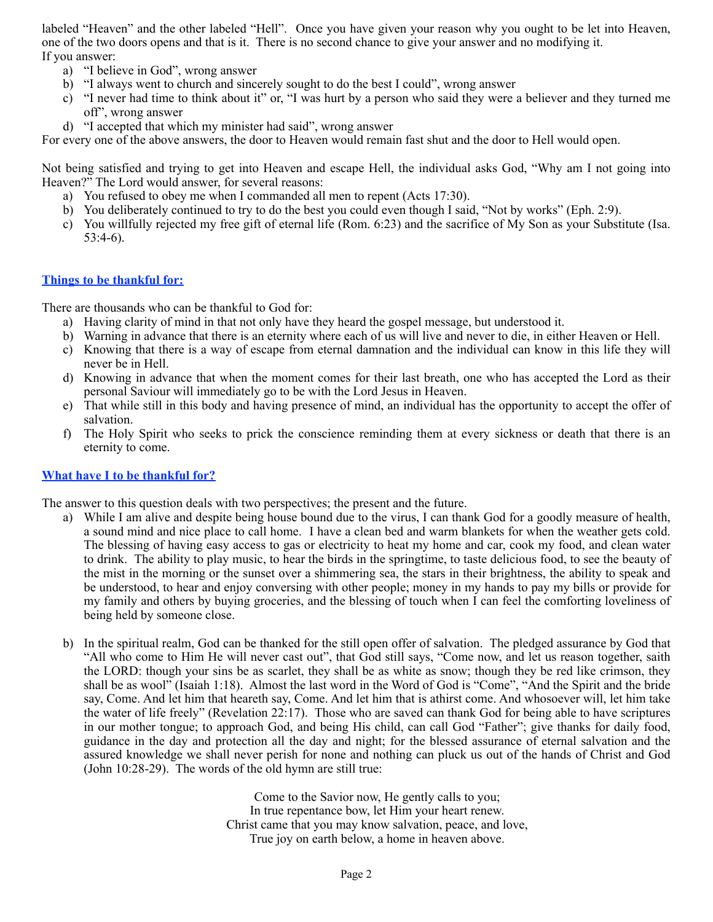labeled "Heaven" and the other labeled "Hell". Once you have given your reason why you ought to be let into Heaven, one of the two doors opens and that is it. There is no second chance to give your answer and no modifying it. If you answer:

- a) "I believe in God", wrong answer
- b) "I always went to church and sincerely sought to do the best I could", wrong answer
- c) "I never had time to think about it" or, "I was hurt by a person who said they were a believer and they turned me off", wrong answer
- d) "I accepted that which my minister had said", wrong answer

For every one of the above answers, the door to Heaven would remain fast shut and the door to Hell would open.

Not being satisfied and trying to get into Heaven and escape Hell, the individual asks God, "Why am I not going into Heaven?" The Lord would answer, for several reasons:

- a) You refused to obey me when I commanded all men to repent (Acts 17:30).
- b) You deliberately continued to try to do the best you could even though I said, "Not by works" (Eph. 2:9).
- c) You willfully rejected my free gift of eternal life (Rom. 6:23) and the sacrifice of My Son as your Substitute (Isa. 53:4-6).

## **Things to be thankful for:**

There are thousands who can be thankful to God for:

- a) Having clarity of mind in that not only have they heard the gospel message, but understood it.
- b) Warning in advance that there is an eternity where each of us will live and never to die, in either Heaven or Hell.
- c) Knowing that there is a way of escape from eternal damnation and the individual can know in this life they will never be in Hell.
- d) Knowing in advance that when the moment comes for their last breath, one who has accepted the Lord as their personal Saviour will immediately go to be with the Lord Jesus in Heaven.
- e) That while still in this body and having presence of mind, an individual has the opportunity to accept the offer of salvation.
- f) The Holy Spirit who seeks to prick the conscience reminding them at every sickness or death that there is an eternity to come.

### **What have I to be thankful for?**

The answer to this question deals with two perspectives; the present and the future.

- a) While I am alive and despite being house bound due to the virus, I can thank God for a goodly measure of health, a sound mind and nice place to call home. I have a clean bed and warm blankets for when the weather gets cold. The blessing of having easy access to gas or electricity to heat my home and car, cook my food, and clean water to drink. The ability to play music, to hear the birds in the springtime, to taste delicious food, to see the beauty of the mist in the morning or the sunset over a shimmering sea, the stars in their brightness, the ability to speak and be understood, to hear and enjoy conversing with other people; money in my hands to pay my bills or provide for my family and others by buying groceries, and the blessing of touch when I can feel the comforting loveliness of being held by someone close.
- b) In the spiritual realm, God can be thanked for the still open offer of salvation. The pledged assurance by God that "All who come to Him He will never cast out", that God still says, "Come now, and let us reason together, saith the LORD: though your sins be as scarlet, they shall be as white as snow; though they be red like crimson, they shall be as wool" (Isaiah 1:18). Almost the last word in the Word of God is "Come", "And the Spirit and the bride say, Come. And let him that heareth say, Come. And let him that is athirst come. And whosoever will, let him take the water of life freely" (Revelation 22:17). Those who are saved can thank God for being able to have scriptures in our mother tongue; to approach God, and being His child, can call God "Father"; give thanks for daily food, guidance in the day and protection all the day and night; for the blessed assurance of eternal salvation and the assured knowledge we shall never perish for none and nothing can pluck us out of the hands of Christ and God (John 10:28-29). The words of the old hymn are still true:

Come to the Savior now, He gently calls to you; In true repentance bow, let Him your heart renew. Christ came that you may know salvation, peace, and love, True joy on earth below, a home in heaven above.